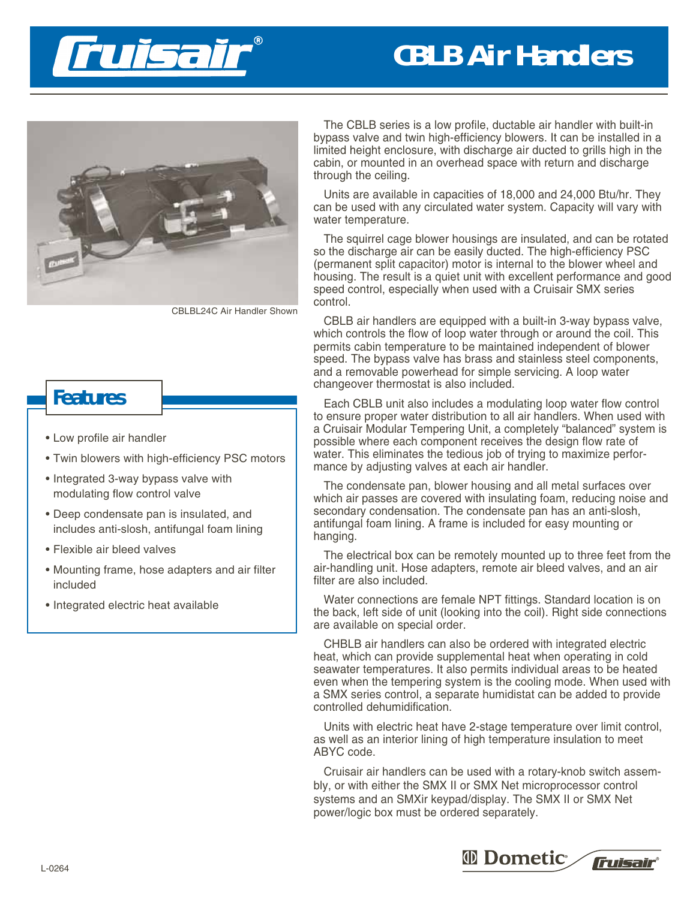

## **CBLB Air Handlers**



CBLBL24C Air Handler Shown

## **Features**

- Low profile air handler
- Twin blowers with high-efficiency PSC motors
- Integrated 3-way bypass valve with modulating flow control valve
- Deep condensate pan is insulated, and includes anti-slosh, antifungal foam lining
- Flexible air bleed valves
- Mounting frame, hose adapters and air filter included
- Integrated electric heat available

The CBLB series is a low profile, ductable air handler with built-in bypass valve and twin high-efficiency blowers. It can be installed in a limited height enclosure, with discharge air ducted to grills high in the cabin, or mounted in an overhead space with return and discharge through the ceiling.

Units are available in capacities of 18,000 and 24,000 Btu/hr. They can be used with any circulated water system. Capacity will vary with water temperature.

The squirrel cage blower housings are insulated, and can be rotated so the discharge air can be easily ducted. The high-efficiency PSC (permanent split capacitor) motor is internal to the blower wheel and housing. The result is a quiet unit with excellent performance and good speed control, especially when used with a Cruisair SMX series control.

CBLB air handlers are equipped with a built-in 3-way bypass valve, which controls the flow of loop water through or around the coil. This permits cabin temperature to be maintained independent of blower speed. The bypass valve has brass and stainless steel components, and a removable powerhead for simple servicing. A loop water changeover thermostat is also included.

Each CBLB unit also includes a modulating loop water flow control to ensure proper water distribution to all air handlers. When used with a Cruisair Modular Tempering Unit, a completely "balanced" system is possible where each component receives the design flow rate of water. This eliminates the tedious job of trying to maximize performance by adjusting valves at each air handler.

The condensate pan, blower housing and all metal surfaces over which air passes are covered with insulating foam, reducing noise and secondary condensation. The condensate pan has an anti-slosh, antifungal foam lining. A frame is included for easy mounting or hanging.

The electrical box can be remotely mounted up to three feet from the air-handling unit. Hose adapters, remote air bleed valves, and an air filter are also included.

Water connections are female NPT fittings. Standard location is on the back, left side of unit (looking into the coil). Right side connections are available on special order.

CHBLB air handlers can also be ordered with integrated electric heat, which can provide supplemental heat when operating in cold seawater temperatures. It also permits individual areas to be heated even when the tempering system is the cooling mode. When used with a SMX series control, a separate humidistat can be added to provide controlled dehumidification.

Units with electric heat have 2-stage temperature over limit control, as well as an interior lining of high temperature insulation to meet ABYC code.

Cruisair air handlers can be used with a rotary-knob switch assembly, or with either the SMX II or SMX Net microprocessor control systems and an SMXir keypad/display. The SMX II or SMX Net power/logic box must be ordered separately.